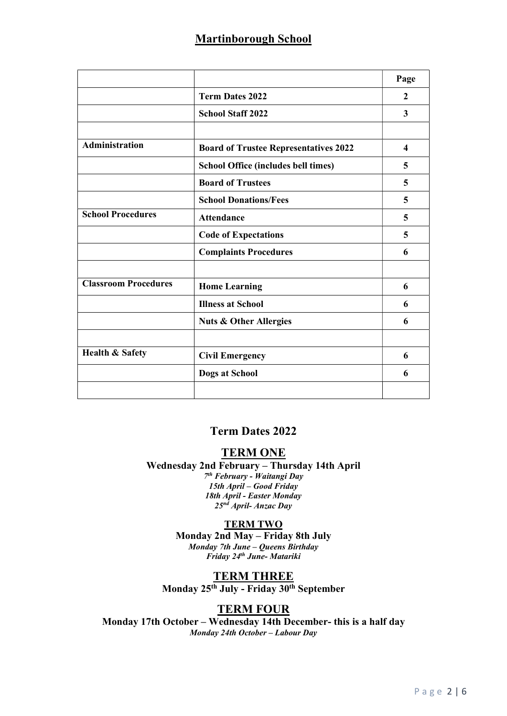# Martinborough School

|                             |                                              | Page                    |
|-----------------------------|----------------------------------------------|-------------------------|
|                             | <b>Term Dates 2022</b>                       | 2                       |
|                             | <b>School Staff 2022</b>                     | 3                       |
|                             |                                              |                         |
| <b>Administration</b>       | <b>Board of Trustee Representatives 2022</b> | $\overline{\mathbf{4}}$ |
|                             | <b>School Office (includes bell times)</b>   | 5                       |
|                             | <b>Board of Trustees</b>                     | 5                       |
|                             | <b>School Donations/Fees</b>                 | 5                       |
| <b>School Procedures</b>    | <b>Attendance</b>                            | 5                       |
|                             | <b>Code of Expectations</b>                  | 5                       |
|                             | <b>Complaints Procedures</b>                 | 6                       |
| <b>Classroom Procedures</b> | <b>Home Learning</b>                         | 6                       |
|                             | <b>Illness at School</b>                     | 6                       |
|                             | <b>Nuts &amp; Other Allergies</b>            | 6                       |
|                             |                                              |                         |
| <b>Health &amp; Safety</b>  | <b>Civil Emergency</b>                       | 6                       |
|                             | Dogs at School                               | 6                       |
|                             |                                              |                         |

## Term Dates 2022

## TERM ONE

Wednesday 2nd February – Thursday 14th April 7 th February - Waitangi Day 15th April – Good Friday 18th April - Easter Monday  $25<sup>nd</sup>$  April- Anzac Day

### **TERM TWO**

Monday 2nd May – Friday 8th July Monday 7th June – Queens Birthday Friday 24th June- Matariki

# TERM THREE

Monday 25<sup>th</sup> July - Friday 30<sup>th</sup> September

## TERM FOUR

Monday 17th October – Wednesday 14th December- this is a half day Monday 24th October – Labour Day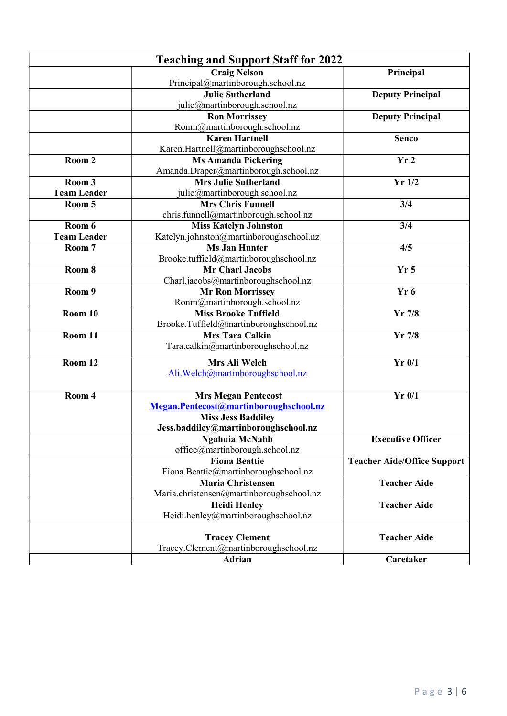| <b>Craig Nelson</b><br>Principal<br>Principal@martinborough.school.nz<br><b>Julie Sutherland</b><br><b>Deputy Principal</b><br>julie@martinborough.school.nz<br><b>Ron Morrissey</b><br><b>Deputy Principal</b><br>Ronm@martinborough.school.nz<br><b>Karen Hartnell</b><br><b>Senco</b><br>Karen.Hartnell@martinboroughschool.nz<br>Room 2<br><b>Ms Amanda Pickering</b><br>Yr <sub>2</sub><br>Amanda.Draper@martinborough.school.nz<br>$Yr$ 1/2<br>Room 3<br><b>Mrs Julie Sutherland</b><br><b>Team Leader</b><br>julie@martinborough school.nz<br>Room 5<br><b>Mrs Chris Funnell</b><br>3/4<br>chris.funnell@martinborough.school.nz<br>Room 6<br><b>Miss Katelyn Johnston</b><br>3/4<br>Katelyn.johnston@martinboroughschool.nz<br><b>Team Leader</b><br><b>Ms Jan Hunter</b><br>Room 7<br>4/5<br>Brooke.tuffield@martinboroughschool.nz<br>Room 8<br><b>Mr Charl Jacobs</b><br>Yr <sub>5</sub><br>Charl.jacobs@martinboroughschool.nz<br>Room 9<br>Yr <sub>6</sub><br><b>Mr Ron Morrissey</b><br>Ronm@martinborough.school.nz<br>Room $10$<br><b>Miss Brooke Tuffield</b><br>$Yr$ 7/8<br>Brooke.Tuffield@martinboroughschool.nz<br>Room 11<br><b>Mrs Tara Calkin</b><br>$Yr$ 7/8<br>Tara.calkin@martinboroughschool.nz<br>Mrs Ali Welch<br>Room 12<br>$Yr$ 0/1<br>Ali. Welch@martinboroughschool.nz<br>Room 4<br>$Yr$ 0/1<br><b>Mrs Megan Pentecost</b><br>Megan.Pentecost@martinboroughschool.nz<br><b>Miss Jess Baddiley</b><br>Jess.baddiley@martinboroughschool.nz<br><b>Executive Officer</b><br><b>Ngahuia McNabb</b><br>office@martinborough.school.nz<br><b>Fiona Beattie</b><br><b>Teacher Aide/Office Support</b><br>Fiona.Beattie@martinboroughschool.nz<br><b>Maria Christensen</b><br><b>Teacher Aide</b><br>Maria.christensen@martinboroughschool.nz<br><b>Teacher Aide</b><br><b>Heidi Henley</b><br>Heidi.henley@martinboroughschool.nz<br><b>Tracey Clement</b><br><b>Teacher Aide</b> | <b>Teaching and Support Staff for 2022</b> |  |  |  |  |
|--------------------------------------------------------------------------------------------------------------------------------------------------------------------------------------------------------------------------------------------------------------------------------------------------------------------------------------------------------------------------------------------------------------------------------------------------------------------------------------------------------------------------------------------------------------------------------------------------------------------------------------------------------------------------------------------------------------------------------------------------------------------------------------------------------------------------------------------------------------------------------------------------------------------------------------------------------------------------------------------------------------------------------------------------------------------------------------------------------------------------------------------------------------------------------------------------------------------------------------------------------------------------------------------------------------------------------------------------------------------------------------------------------------------------------------------------------------------------------------------------------------------------------------------------------------------------------------------------------------------------------------------------------------------------------------------------------------------------------------------------------------------------------------------------------------------------------------------------------------------------------------------------------------|--------------------------------------------|--|--|--|--|
|                                                                                                                                                                                                                                                                                                                                                                                                                                                                                                                                                                                                                                                                                                                                                                                                                                                                                                                                                                                                                                                                                                                                                                                                                                                                                                                                                                                                                                                                                                                                                                                                                                                                                                                                                                                                                                                                                                              |                                            |  |  |  |  |
|                                                                                                                                                                                                                                                                                                                                                                                                                                                                                                                                                                                                                                                                                                                                                                                                                                                                                                                                                                                                                                                                                                                                                                                                                                                                                                                                                                                                                                                                                                                                                                                                                                                                                                                                                                                                                                                                                                              |                                            |  |  |  |  |
|                                                                                                                                                                                                                                                                                                                                                                                                                                                                                                                                                                                                                                                                                                                                                                                                                                                                                                                                                                                                                                                                                                                                                                                                                                                                                                                                                                                                                                                                                                                                                                                                                                                                                                                                                                                                                                                                                                              |                                            |  |  |  |  |
|                                                                                                                                                                                                                                                                                                                                                                                                                                                                                                                                                                                                                                                                                                                                                                                                                                                                                                                                                                                                                                                                                                                                                                                                                                                                                                                                                                                                                                                                                                                                                                                                                                                                                                                                                                                                                                                                                                              |                                            |  |  |  |  |
|                                                                                                                                                                                                                                                                                                                                                                                                                                                                                                                                                                                                                                                                                                                                                                                                                                                                                                                                                                                                                                                                                                                                                                                                                                                                                                                                                                                                                                                                                                                                                                                                                                                                                                                                                                                                                                                                                                              |                                            |  |  |  |  |
|                                                                                                                                                                                                                                                                                                                                                                                                                                                                                                                                                                                                                                                                                                                                                                                                                                                                                                                                                                                                                                                                                                                                                                                                                                                                                                                                                                                                                                                                                                                                                                                                                                                                                                                                                                                                                                                                                                              |                                            |  |  |  |  |
|                                                                                                                                                                                                                                                                                                                                                                                                                                                                                                                                                                                                                                                                                                                                                                                                                                                                                                                                                                                                                                                                                                                                                                                                                                                                                                                                                                                                                                                                                                                                                                                                                                                                                                                                                                                                                                                                                                              |                                            |  |  |  |  |
|                                                                                                                                                                                                                                                                                                                                                                                                                                                                                                                                                                                                                                                                                                                                                                                                                                                                                                                                                                                                                                                                                                                                                                                                                                                                                                                                                                                                                                                                                                                                                                                                                                                                                                                                                                                                                                                                                                              |                                            |  |  |  |  |
|                                                                                                                                                                                                                                                                                                                                                                                                                                                                                                                                                                                                                                                                                                                                                                                                                                                                                                                                                                                                                                                                                                                                                                                                                                                                                                                                                                                                                                                                                                                                                                                                                                                                                                                                                                                                                                                                                                              |                                            |  |  |  |  |
|                                                                                                                                                                                                                                                                                                                                                                                                                                                                                                                                                                                                                                                                                                                                                                                                                                                                                                                                                                                                                                                                                                                                                                                                                                                                                                                                                                                                                                                                                                                                                                                                                                                                                                                                                                                                                                                                                                              |                                            |  |  |  |  |
|                                                                                                                                                                                                                                                                                                                                                                                                                                                                                                                                                                                                                                                                                                                                                                                                                                                                                                                                                                                                                                                                                                                                                                                                                                                                                                                                                                                                                                                                                                                                                                                                                                                                                                                                                                                                                                                                                                              |                                            |  |  |  |  |
|                                                                                                                                                                                                                                                                                                                                                                                                                                                                                                                                                                                                                                                                                                                                                                                                                                                                                                                                                                                                                                                                                                                                                                                                                                                                                                                                                                                                                                                                                                                                                                                                                                                                                                                                                                                                                                                                                                              |                                            |  |  |  |  |
|                                                                                                                                                                                                                                                                                                                                                                                                                                                                                                                                                                                                                                                                                                                                                                                                                                                                                                                                                                                                                                                                                                                                                                                                                                                                                                                                                                                                                                                                                                                                                                                                                                                                                                                                                                                                                                                                                                              |                                            |  |  |  |  |
|                                                                                                                                                                                                                                                                                                                                                                                                                                                                                                                                                                                                                                                                                                                                                                                                                                                                                                                                                                                                                                                                                                                                                                                                                                                                                                                                                                                                                                                                                                                                                                                                                                                                                                                                                                                                                                                                                                              |                                            |  |  |  |  |
|                                                                                                                                                                                                                                                                                                                                                                                                                                                                                                                                                                                                                                                                                                                                                                                                                                                                                                                                                                                                                                                                                                                                                                                                                                                                                                                                                                                                                                                                                                                                                                                                                                                                                                                                                                                                                                                                                                              |                                            |  |  |  |  |
|                                                                                                                                                                                                                                                                                                                                                                                                                                                                                                                                                                                                                                                                                                                                                                                                                                                                                                                                                                                                                                                                                                                                                                                                                                                                                                                                                                                                                                                                                                                                                                                                                                                                                                                                                                                                                                                                                                              |                                            |  |  |  |  |
|                                                                                                                                                                                                                                                                                                                                                                                                                                                                                                                                                                                                                                                                                                                                                                                                                                                                                                                                                                                                                                                                                                                                                                                                                                                                                                                                                                                                                                                                                                                                                                                                                                                                                                                                                                                                                                                                                                              |                                            |  |  |  |  |
|                                                                                                                                                                                                                                                                                                                                                                                                                                                                                                                                                                                                                                                                                                                                                                                                                                                                                                                                                                                                                                                                                                                                                                                                                                                                                                                                                                                                                                                                                                                                                                                                                                                                                                                                                                                                                                                                                                              |                                            |  |  |  |  |
|                                                                                                                                                                                                                                                                                                                                                                                                                                                                                                                                                                                                                                                                                                                                                                                                                                                                                                                                                                                                                                                                                                                                                                                                                                                                                                                                                                                                                                                                                                                                                                                                                                                                                                                                                                                                                                                                                                              |                                            |  |  |  |  |
|                                                                                                                                                                                                                                                                                                                                                                                                                                                                                                                                                                                                                                                                                                                                                                                                                                                                                                                                                                                                                                                                                                                                                                                                                                                                                                                                                                                                                                                                                                                                                                                                                                                                                                                                                                                                                                                                                                              |                                            |  |  |  |  |
|                                                                                                                                                                                                                                                                                                                                                                                                                                                                                                                                                                                                                                                                                                                                                                                                                                                                                                                                                                                                                                                                                                                                                                                                                                                                                                                                                                                                                                                                                                                                                                                                                                                                                                                                                                                                                                                                                                              |                                            |  |  |  |  |
|                                                                                                                                                                                                                                                                                                                                                                                                                                                                                                                                                                                                                                                                                                                                                                                                                                                                                                                                                                                                                                                                                                                                                                                                                                                                                                                                                                                                                                                                                                                                                                                                                                                                                                                                                                                                                                                                                                              |                                            |  |  |  |  |
|                                                                                                                                                                                                                                                                                                                                                                                                                                                                                                                                                                                                                                                                                                                                                                                                                                                                                                                                                                                                                                                                                                                                                                                                                                                                                                                                                                                                                                                                                                                                                                                                                                                                                                                                                                                                                                                                                                              |                                            |  |  |  |  |
|                                                                                                                                                                                                                                                                                                                                                                                                                                                                                                                                                                                                                                                                                                                                                                                                                                                                                                                                                                                                                                                                                                                                                                                                                                                                                                                                                                                                                                                                                                                                                                                                                                                                                                                                                                                                                                                                                                              |                                            |  |  |  |  |
|                                                                                                                                                                                                                                                                                                                                                                                                                                                                                                                                                                                                                                                                                                                                                                                                                                                                                                                                                                                                                                                                                                                                                                                                                                                                                                                                                                                                                                                                                                                                                                                                                                                                                                                                                                                                                                                                                                              |                                            |  |  |  |  |
|                                                                                                                                                                                                                                                                                                                                                                                                                                                                                                                                                                                                                                                                                                                                                                                                                                                                                                                                                                                                                                                                                                                                                                                                                                                                                                                                                                                                                                                                                                                                                                                                                                                                                                                                                                                                                                                                                                              |                                            |  |  |  |  |
|                                                                                                                                                                                                                                                                                                                                                                                                                                                                                                                                                                                                                                                                                                                                                                                                                                                                                                                                                                                                                                                                                                                                                                                                                                                                                                                                                                                                                                                                                                                                                                                                                                                                                                                                                                                                                                                                                                              |                                            |  |  |  |  |
|                                                                                                                                                                                                                                                                                                                                                                                                                                                                                                                                                                                                                                                                                                                                                                                                                                                                                                                                                                                                                                                                                                                                                                                                                                                                                                                                                                                                                                                                                                                                                                                                                                                                                                                                                                                                                                                                                                              |                                            |  |  |  |  |
|                                                                                                                                                                                                                                                                                                                                                                                                                                                                                                                                                                                                                                                                                                                                                                                                                                                                                                                                                                                                                                                                                                                                                                                                                                                                                                                                                                                                                                                                                                                                                                                                                                                                                                                                                                                                                                                                                                              |                                            |  |  |  |  |
|                                                                                                                                                                                                                                                                                                                                                                                                                                                                                                                                                                                                                                                                                                                                                                                                                                                                                                                                                                                                                                                                                                                                                                                                                                                                                                                                                                                                                                                                                                                                                                                                                                                                                                                                                                                                                                                                                                              |                                            |  |  |  |  |
|                                                                                                                                                                                                                                                                                                                                                                                                                                                                                                                                                                                                                                                                                                                                                                                                                                                                                                                                                                                                                                                                                                                                                                                                                                                                                                                                                                                                                                                                                                                                                                                                                                                                                                                                                                                                                                                                                                              |                                            |  |  |  |  |
|                                                                                                                                                                                                                                                                                                                                                                                                                                                                                                                                                                                                                                                                                                                                                                                                                                                                                                                                                                                                                                                                                                                                                                                                                                                                                                                                                                                                                                                                                                                                                                                                                                                                                                                                                                                                                                                                                                              |                                            |  |  |  |  |
|                                                                                                                                                                                                                                                                                                                                                                                                                                                                                                                                                                                                                                                                                                                                                                                                                                                                                                                                                                                                                                                                                                                                                                                                                                                                                                                                                                                                                                                                                                                                                                                                                                                                                                                                                                                                                                                                                                              |                                            |  |  |  |  |
|                                                                                                                                                                                                                                                                                                                                                                                                                                                                                                                                                                                                                                                                                                                                                                                                                                                                                                                                                                                                                                                                                                                                                                                                                                                                                                                                                                                                                                                                                                                                                                                                                                                                                                                                                                                                                                                                                                              |                                            |  |  |  |  |
|                                                                                                                                                                                                                                                                                                                                                                                                                                                                                                                                                                                                                                                                                                                                                                                                                                                                                                                                                                                                                                                                                                                                                                                                                                                                                                                                                                                                                                                                                                                                                                                                                                                                                                                                                                                                                                                                                                              |                                            |  |  |  |  |
|                                                                                                                                                                                                                                                                                                                                                                                                                                                                                                                                                                                                                                                                                                                                                                                                                                                                                                                                                                                                                                                                                                                                                                                                                                                                                                                                                                                                                                                                                                                                                                                                                                                                                                                                                                                                                                                                                                              |                                            |  |  |  |  |
|                                                                                                                                                                                                                                                                                                                                                                                                                                                                                                                                                                                                                                                                                                                                                                                                                                                                                                                                                                                                                                                                                                                                                                                                                                                                                                                                                                                                                                                                                                                                                                                                                                                                                                                                                                                                                                                                                                              |                                            |  |  |  |  |
|                                                                                                                                                                                                                                                                                                                                                                                                                                                                                                                                                                                                                                                                                                                                                                                                                                                                                                                                                                                                                                                                                                                                                                                                                                                                                                                                                                                                                                                                                                                                                                                                                                                                                                                                                                                                                                                                                                              |                                            |  |  |  |  |
|                                                                                                                                                                                                                                                                                                                                                                                                                                                                                                                                                                                                                                                                                                                                                                                                                                                                                                                                                                                                                                                                                                                                                                                                                                                                                                                                                                                                                                                                                                                                                                                                                                                                                                                                                                                                                                                                                                              |                                            |  |  |  |  |
|                                                                                                                                                                                                                                                                                                                                                                                                                                                                                                                                                                                                                                                                                                                                                                                                                                                                                                                                                                                                                                                                                                                                                                                                                                                                                                                                                                                                                                                                                                                                                                                                                                                                                                                                                                                                                                                                                                              |                                            |  |  |  |  |
|                                                                                                                                                                                                                                                                                                                                                                                                                                                                                                                                                                                                                                                                                                                                                                                                                                                                                                                                                                                                                                                                                                                                                                                                                                                                                                                                                                                                                                                                                                                                                                                                                                                                                                                                                                                                                                                                                                              |                                            |  |  |  |  |
|                                                                                                                                                                                                                                                                                                                                                                                                                                                                                                                                                                                                                                                                                                                                                                                                                                                                                                                                                                                                                                                                                                                                                                                                                                                                                                                                                                                                                                                                                                                                                                                                                                                                                                                                                                                                                                                                                                              |                                            |  |  |  |  |
|                                                                                                                                                                                                                                                                                                                                                                                                                                                                                                                                                                                                                                                                                                                                                                                                                                                                                                                                                                                                                                                                                                                                                                                                                                                                                                                                                                                                                                                                                                                                                                                                                                                                                                                                                                                                                                                                                                              |                                            |  |  |  |  |
| Tracey.Clement@martinboroughschool.nz                                                                                                                                                                                                                                                                                                                                                                                                                                                                                                                                                                                                                                                                                                                                                                                                                                                                                                                                                                                                                                                                                                                                                                                                                                                                                                                                                                                                                                                                                                                                                                                                                                                                                                                                                                                                                                                                        |                                            |  |  |  |  |
| <b>Adrian</b><br>Caretaker                                                                                                                                                                                                                                                                                                                                                                                                                                                                                                                                                                                                                                                                                                                                                                                                                                                                                                                                                                                                                                                                                                                                                                                                                                                                                                                                                                                                                                                                                                                                                                                                                                                                                                                                                                                                                                                                                   |                                            |  |  |  |  |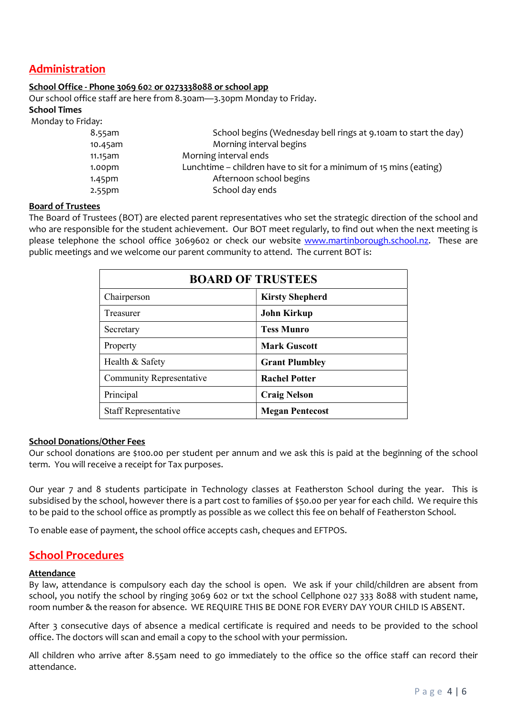# Administration

### School Office - Phone 3069 602 or 0273338088 or school app

Our school office staff are here from 8.30am—3.30pm Monday to Friday.

### School Times

Monday to Friday:

| 8.55am             | School begins (Wednesday bell rings at 9.10am to start the day)    |
|--------------------|--------------------------------------------------------------------|
| $10.45$ am         | Morning interval begins                                            |
| 11.15am            | Morning interval ends                                              |
| 1.00 <sub>pm</sub> | Lunchtime – children have to sit for a minimum of 15 mins (eating) |
| 1.45 <sub>pm</sub> | Afternoon school begins                                            |
| 2.55 <sub>pm</sub> | School day ends                                                    |
|                    |                                                                    |

### Board of Trustees

The Board of Trustees (BOT) are elected parent representatives who set the strategic direction of the school and who are responsible for the student achievement. Our BOT meet regularly, to find out when the next meeting is please telephone the school office 3069602 or check our website www.martinborough.school.nz. These are public meetings and we welcome our parent community to attend. The current BOT is:

| <b>BOARD OF TRUSTEES</b>        |                        |  |  |
|---------------------------------|------------------------|--|--|
| Chairperson                     | <b>Kirsty Shepherd</b> |  |  |
| Treasurer                       | <b>John Kirkup</b>     |  |  |
| Secretary                       | <b>Tess Munro</b>      |  |  |
| Property                        | <b>Mark Guscott</b>    |  |  |
| Health & Safety                 | <b>Grant Plumbley</b>  |  |  |
| <b>Community Representative</b> | <b>Rachel Potter</b>   |  |  |
| Principal                       | <b>Craig Nelson</b>    |  |  |
| <b>Staff Representative</b>     | <b>Megan Pentecost</b> |  |  |

### School Donations/Other Fees

Our school donations are \$100.00 per student per annum and we ask this is paid at the beginning of the school term. You will receive a receipt for Tax purposes.

Our year 7 and 8 students participate in Technology classes at Featherston School during the year. This is subsidised by the school, however there is a part cost to families of \$50.00 per year for each child. We require this to be paid to the school office as promptly as possible as we collect this fee on behalf of Featherston School.

To enable ease of payment, the school office accepts cash, cheques and EFTPOS.

### School Procedures

### Attendance

By law, attendance is compulsory each day the school is open. We ask if your child/children are absent from school, you notify the school by ringing 3069 602 or txt the school Cellphone 027 333 8088 with student name, room number & the reason for absence. WE REQUIRE THIS BE DONE FOR EVERY DAY YOUR CHILD IS ABSENT.

After 3 consecutive days of absence a medical certificate is required and needs to be provided to the school office. The doctors will scan and email a copy to the school with your permission.

All children who arrive after 8.55am need to go immediately to the office so the office staff can record their attendance.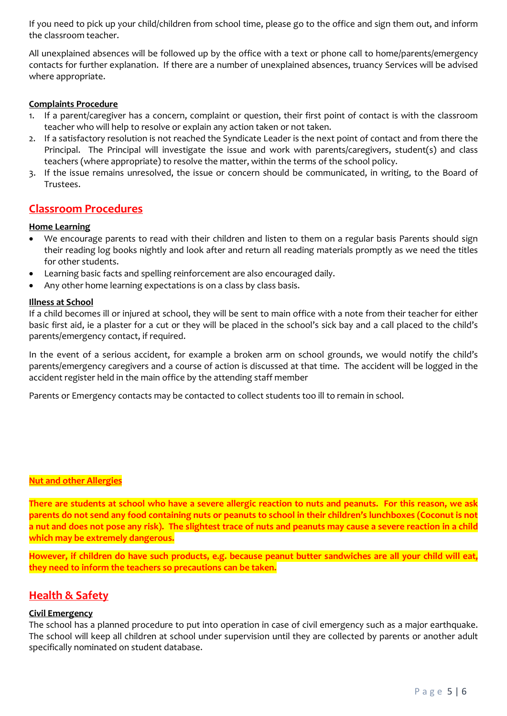If you need to pick up your child/children from school time, please go to the office and sign them out, and inform the classroom teacher.

All unexplained absences will be followed up by the office with a text or phone call to home/parents/emergency contacts for further explanation. If there are a number of unexplained absences, truancy Services will be advised where appropriate.

### Complaints Procedure

- 1. If a parent/caregiver has a concern, complaint or question, their first point of contact is with the classroom teacher who will help to resolve or explain any action taken or not taken.
- 2. If a satisfactory resolution is not reached the Syndicate Leader is the next point of contact and from there the Principal. The Principal will investigate the issue and work with parents/caregivers, student(s) and class teachers (where appropriate) to resolve the matter, within the terms of the school policy.
- 3. If the issue remains unresolved, the issue or concern should be communicated, in writing, to the Board of Trustees.

### Classroom Procedures

### Home Learning

- We encourage parents to read with their children and listen to them on a regular basis Parents should sign their reading log books nightly and look after and return all reading materials promptly as we need the titles for other students.
- Learning basic facts and spelling reinforcement are also encouraged daily.
- Any other home learning expectations is on a class by class basis.

### Illness at School

If a child becomes ill or injured at school, they will be sent to main office with a note from their teacher for either basic first aid, ie a plaster for a cut or they will be placed in the school's sick bay and a call placed to the child's parents/emergency contact, if required.

In the event of a serious accident, for example a broken arm on school grounds, we would notify the child's parents/emergency caregivers and a course of action is discussed at that time. The accident will be logged in the accident register held in the main office by the attending staff member

Parents or Emergency contacts may be contacted to collect students too ill to remain in school.

### Nut and other Allergies

There are students at school who have a severe allergic reaction to nuts and peanuts. For this reason, we ask parents do not send any food containing nuts or peanuts to school in their children's lunchboxes (Coconut is not a nut and does not pose any risk). The slightest trace of nuts and peanuts may cause a severe reaction in a child which may be extremely dangerous.

However, if children do have such products, e.g. because peanut butter sandwiches are all your child will eat, they need to inform the teachers so precautions can be taken.

# **Health & Safety**

### Civil Emergency

The school has a planned procedure to put into operation in case of civil emergency such as a major earthquake. The school will keep all children at school under supervision until they are collected by parents or another adult specifically nominated on student database.